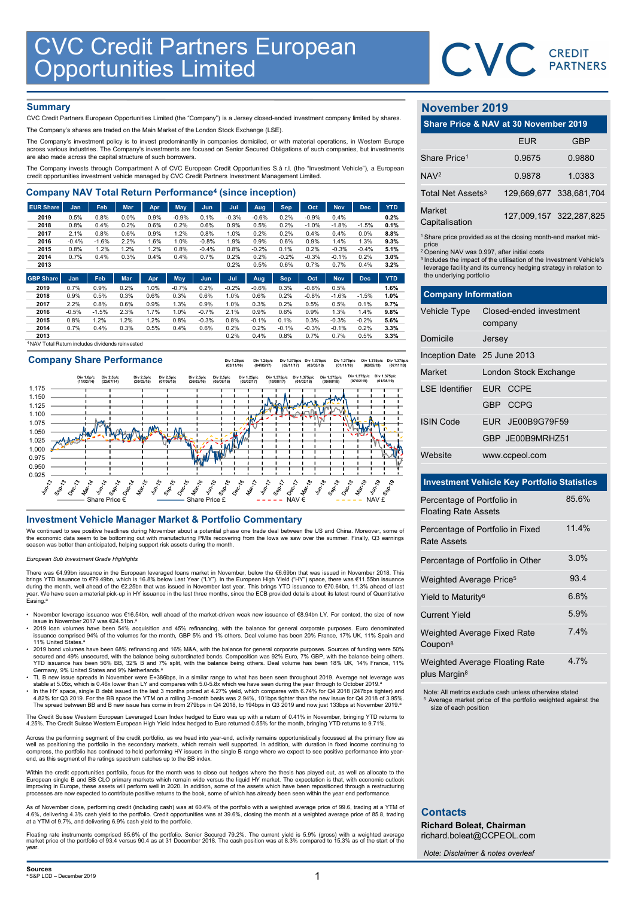

## **Summary**

| <b>CVC Credit Partners European<br/>Opportunities Limited</b>                                                                                                                                                                                                          |                 |                 |              |              |                 |                 |                 |                 |                 |                    |                 |              |              |                               | CVC CREDIT                                                                    |            |
|------------------------------------------------------------------------------------------------------------------------------------------------------------------------------------------------------------------------------------------------------------------------|-----------------|-----------------|--------------|--------------|-----------------|-----------------|-----------------|-----------------|-----------------|--------------------|-----------------|--------------|--------------|-------------------------------|-------------------------------------------------------------------------------|------------|
|                                                                                                                                                                                                                                                                        |                 |                 |              |              |                 |                 |                 |                 |                 |                    |                 |              |              |                               |                                                                               |            |
|                                                                                                                                                                                                                                                                        |                 |                 |              |              |                 |                 |                 |                 |                 |                    |                 |              |              |                               |                                                                               |            |
|                                                                                                                                                                                                                                                                        |                 |                 |              |              |                 |                 |                 |                 |                 |                    |                 |              |              |                               |                                                                               |            |
| <b>Summary</b>                                                                                                                                                                                                                                                         |                 |                 |              |              |                 |                 |                 |                 |                 |                    |                 |              |              | November 2019                 |                                                                               |            |
| CVC Credit Partners European Opportunities Limited (the "Company") is a Jersey closed-ended investment company limited by shares.                                                                                                                                      |                 |                 |              |              |                 |                 |                 |                 |                 |                    |                 |              |              |                               | Share Price & NAV at 30 November 2019                                         |            |
| The Company's shares are traded on the Main Market of the London Stock Exchange (LSE).                                                                                                                                                                                 |                 |                 |              |              |                 |                 |                 |                 |                 |                    |                 |              |              |                               |                                                                               |            |
| The Company's investment policy is to invest predominantly in companies domiciled, or with material operations, in Western Europe<br>across various industries. The Company's investments are focused on Senior Secured Obligations of such companies, but investments |                 |                 |              |              |                 |                 |                 |                 |                 |                    |                 |              |              |                               | <b>EUR</b>                                                                    | <b>GBP</b> |
| are also made across the capital structure of such borrowers.                                                                                                                                                                                                          |                 |                 |              |              |                 |                 |                 |                 |                 |                    |                 |              |              | Share Price <sup>1</sup>      | 0.9675                                                                        | 0.9880     |
| The Company invests through Compartment A of CVC European Credit Opportunities S.à r.l. (the "Investment Vehicle"), a European<br>credit opportunities investment vehicle managed by CVC Credit Partners Investment Management Limited.                                |                 |                 |              |              |                 |                 |                 |                 |                 |                    |                 |              |              | NAV <sup>2</sup>              | 0.9878                                                                        | 1.0383     |
| <b>Company NAV Total Return Performance<sup>4</sup> (since inception)</b>                                                                                                                                                                                              |                 |                 |              |              |                 |                 |                 |                 |                 |                    |                 |              |              | Total Net Assets <sup>3</sup> | 129,669,677 338,681,70                                                        |            |
| <b>EUR Share</b>                                                                                                                                                                                                                                                       | Jan             | Feb             | Mar          | Apr          | May             | Jun             | Jul             | Aug             | <b>Sep</b>      | Oct                | <b>Nov</b>      | <b>Dec</b>   | <b>YTD</b>   | Market                        |                                                                               |            |
| 2019<br>2018                                                                                                                                                                                                                                                           | 0.5%<br>0.8%    | 0.8%<br>0.4%    | 0.0%<br>0.2% | 0.9%<br>0.6% | $-0.9%$<br>0.2% | 0.1%<br>0.6%    | $-0.3%$<br>0.9% | $-0.6%$<br>0.5% | 0.2%<br>0.2%    | $-0.9%$<br>$-1.0%$ | 0.4%<br>$-1.8%$ | $-1.5%$      | 0.2%<br>0.1% | Capitalisation                | 127,009,157 322,287,82                                                        |            |
| 2017                                                                                                                                                                                                                                                                   | 2.1%            | 0.8%            | 0.6%         | 0.9%         | 1.2%            | 0.8%            | 1.0%            | 0.2%            | 0.2%            | 0.4%               | 0.4%            | 0.0%         | 8.8%         |                               |                                                                               |            |
| 2016                                                                                                                                                                                                                                                                   | $-0.4%$         | $-1.6%$         | 2.2%         | 1.6%         | 1.0%            | $-0.8%$         | 1.9%            | 0.9%            | 0.6%            | 0.9%               | 1.4%            | 1.3%         | 9.3%         | price                         | <sup>1</sup> Share price provided as at the closing month-end market mid      |            |
| 2015                                                                                                                                                                                                                                                                   | 0.8%            | 1.2%            | 1.2%         | 1.2%         | 0.8%            | $-0.4%$         | 0.8%            | $-0.2%$         | 0.1%            | 0.2%               | $-0.3%$         | $-0.4%$      | 5.1%         |                               | <sup>2</sup> Opening NAV was 0.997, after initial costs                       |            |
| 2014<br>2013                                                                                                                                                                                                                                                           | 0.7%            | 0.4%            | 0.3%         | 0.4%         | 0.4%            | 0.7%            | 0.2%<br>0.2%    | 0.2%<br>0.5%    | $-0.2%$<br>0.6% | $-0.3%$<br>0.7%    | $-0.1%$<br>0.7% | 0.2%<br>0.4% | 3.0%<br>3.2% |                               | <sup>3</sup> Includes the impact of the utilisation of the Investment Vehicle |            |
|                                                                                                                                                                                                                                                                        |                 |                 |              |              |                 |                 |                 |                 |                 |                    |                 |              |              |                               | leverage facility and its currency hedging strategy in relation t             |            |
| <b>GBP Share</b>                                                                                                                                                                                                                                                       | Jan             | Feb             | <b>Mar</b>   | Apr          | May             | Jun.            | Jul             | Aug             | <b>Sep</b>      | Oct                | <b>Nov</b>      | <b>Dec</b>   | <b>YTD</b>   | the underlying portfolio      |                                                                               |            |
| 2019                                                                                                                                                                                                                                                                   | 0.7%            | 0.9%            | 0.2%         | 1.0%         | $-0.7%$         | 0.2%            | $-0.2%$         | $-0.6%$         | 0.3%            | $-0.6%$            | 0.5%            |              | 1.6%         |                               |                                                                               |            |
| 2018                                                                                                                                                                                                                                                                   | 0.9%            | 0.5%            | 0.3%         | 0.6%         | 0.3%            | 0.6%            | 1.0%            | 0.6%            | 0.2%            | $-0.8%$            | $-1.6%$         | $-1.5%$      | 1.0%         | <b>Company Information</b>    |                                                                               |            |
| 2017<br>2016                                                                                                                                                                                                                                                           | 2.2%<br>$-0.5%$ | 0.8%<br>$-1.5%$ | 0.6%<br>2.3% | 0.9%<br>1.7% | 1.3%<br>1.0%    | 0.9%<br>$-0.7%$ | 1.0%<br>2.1%    | 0.3%<br>0.9%    | 0.2%<br>0.6%    | 0.5%<br>0.9%       | 0.5%<br>1.3%    | 0.1%<br>1.4% | 9.7%<br>9.8% | <b>Vehicle Type</b>           | Closed-ended investment                                                       |            |
| 2015                                                                                                                                                                                                                                                                   | 0.8%            | 1.2%            | 1.2%         | 1.2%         | 0.8%            | $-0.3%$         | 0.8%            | $-0.1%$         | 0.1%            | 0.3%               | $-0.3%$         | $-0.2%$      | 5.6%         |                               |                                                                               |            |
| 2014                                                                                                                                                                                                                                                                   | 0.7%            | 0.4%            | 0.3%         | 0.5%         | 0.4%            | 0.6%            | 0.2%            | 0.2%            | $-0.1%$         | $-0.3%$            | $-0.1%$         | 0.2%         | 3.3%         |                               | company                                                                       |            |
| 2013                                                                                                                                                                                                                                                                   |                 |                 |              |              |                 |                 | 0.2%            | 0.4%            | 0.8%            | 0.7%               | 0.7%            | 0.5%         | 3.3%         | Domicile                      | larcay                                                                        |            |

<sup>4</sup>NAV Total Return includes dividends reinvested

## Company Share Performance

Div 1.25p/c (04/05/17) Div 1.375p/c (02/11/17) Div 1.375p/c (03/05/18) Div 1.375p/c (01/11/18) Div 1.375p/c (02/05/19) Div 1.375p/c (07/11/19)



We continued to see positive headlines during November about a potential phase one trade deal between the US and China. Moreover, some of the economic data seem to be bottoming out with manufacturing PMIs recovering from the lows we saw over the summer. Finally, Q3 earnings season was better than anticipated, helping support risk assets during the month.

### European Sub Investment Grade Highlights

There was €4.99bn issuance in the European leveraged loans market in November, below the €6.69bn that was issued in November 2018. This<br>brings YTD issuance to €79.49bn, which is 16.8% below Last Year ("LY"). In the Europe year. We have seen a material pick-up in HY issuance in the last three months, since the ECB provided details about its latest round of Quantitative y<del>o</del>u...<br>Easing.<sup>a</sup>

- November leverage issuance was €16.54bn, well ahead of the market-driven weak new issuance of €8.94bn LY. For context, the size of new<br>issue in November 2017 was €24.51bn.ª
- 2019 Ioan volumes have been 54% acquisition and 45% refinancing, with the balance for general corporate purposes. Euro denominated<br>issuance comprised 94% of the volumes for the month, GBP 5% and 1% others. Deal volume ha 11% United States.<sup>8</sup>
- 2019 bond volumes have been 68% refinancing and 16% M&A, with the balance for general corporate purposes. Sources of funding were 50% secured and 49% unsecured, with the balance being subordinated bonds. Composition was
- TL B new issue spreads in November were E+386bps, in a similar range to what has been seen throughout 2019. Average net leverage was<br>stable at 5.05x, which is 0.46x lower than LY and compares with 5.0-5.8x which we hav
- 4.82% for Q3 2019. For the BB space the YTM on a rolling 3-month basis was 2.94%, 101bps tighter than the new issue for Q4 2018 of 3.95%.<br>The spread between BB and B new issue has come in from 279bps in Q4 2018, to 194bps

The Credit Suisse Western European Leveraged Loan Index hedged to Euro was up with a return of 0.41% in November, bringing YTD returns to 4.25%. The Credit Suisse Western European High Yield Index hedged to Euro returned 0.55% for the month, bringing YTD returns to 9.71%.

Across the performing segment of the credit portfolio, as we head into year-end, activity remains opportunistically focussed at the primary flow as<br>well as positioning the portfolio in the secondary markets, which remain w compress, the portfolio has continued to hold performing HY issuers in the single B range where we expect to see positive performance into year-end, as this segment of the ratings spectrum catches up to the BB index.

Within the credit opportunities portfolio, focus for the month was to close out hedges where the thesis has played out, as well as allocate to the European single B and BB CLO primary markets which remain wide versus the liquid HY market. The expectation is that, with economic outlook<br>improving in Europe, these assets will perform well in 2020. In addition, some of t processes are now expected to contribute positive returns to the book, some of which has already been seen within the year end performance.

As of November close, performing credit (including cash) was at 60.4% of the portfolio with a weighted average price of 99.6, trading at a YTM of<br>4.6%, delivering 4.3% cash yield to the portfolio. Credit opportunities was at a YTM of 9.7%, and delivering 6.9% cash yield to the portfolio.

Floating rate instruments comprised 85.6% of the portfolio. Senior Secured 79.2%. The current yield is 5.9% (gross) with a weighted average market price of the portfolio of 93.4 versus 90.4 as at 31 December 2018. The cash position was at 8.3% compared to 15.3% as of the start of the year.

# November 2019

|                               | CVC CREDIT                                                                                                                                                                                                       |                         |
|-------------------------------|------------------------------------------------------------------------------------------------------------------------------------------------------------------------------------------------------------------|-------------------------|
|                               |                                                                                                                                                                                                                  |                         |
|                               |                                                                                                                                                                                                                  |                         |
| November 2019                 |                                                                                                                                                                                                                  |                         |
|                               | Share Price & NAV at 30 November 2019                                                                                                                                                                            |                         |
|                               | <b>EUR</b>                                                                                                                                                                                                       | <b>GBP</b>              |
| Share Price <sup>1</sup>      | 0.9675                                                                                                                                                                                                           | 0.9880                  |
| NAV <sup>2</sup>              | 0.9878                                                                                                                                                                                                           | 1.0383                  |
| Total Net Assets <sup>3</sup> |                                                                                                                                                                                                                  | 129,669,677 338,681,704 |
| Market<br>Capitalisation      |                                                                                                                                                                                                                  | 127,009,157 322,287,825 |
| price                         | <sup>1</sup> Share price provided as at the closing month-end market mid-                                                                                                                                        |                         |
| the underlying portfolio      | <sup>2</sup> Opening NAV was 0.997, after initial costs<br><sup>3</sup> Includes the impact of the utilisation of the Investment Vehicle's<br>leverage facility and its currency hedging strategy in relation to |                         |
| <b>Company Information</b>    |                                                                                                                                                                                                                  |                         |
| Vehicle Type                  | Closed-ended investment<br>company                                                                                                                                                                               |                         |
| Domicile                      | Jersey                                                                                                                                                                                                           |                         |
| Inception Date 25 June 2013   |                                                                                                                                                                                                                  |                         |
| Market                        | London Stock Exchange                                                                                                                                                                                            |                         |

|                                   |                                                                                                                                                                                                                                                                                               | <b>PARTNERS</b>         |
|-----------------------------------|-----------------------------------------------------------------------------------------------------------------------------------------------------------------------------------------------------------------------------------------------------------------------------------------------|-------------------------|
| <b>November 2019</b>              |                                                                                                                                                                                                                                                                                               |                         |
|                                   | Share Price & NAV at 30 November 2019                                                                                                                                                                                                                                                         |                         |
|                                   | <b>EUR</b>                                                                                                                                                                                                                                                                                    | <b>GBP</b>              |
| Share Price <sup>1</sup>          | 0.9675                                                                                                                                                                                                                                                                                        | 0.9880                  |
| NAV <sup>2</sup>                  | 0.9878                                                                                                                                                                                                                                                                                        | 1.0383                  |
| Total Net Assets <sup>3</sup>     |                                                                                                                                                                                                                                                                                               | 129,669,677 338,681,704 |
| Market<br>Capitalisation          |                                                                                                                                                                                                                                                                                               | 127,009,157 322,287,825 |
| price<br>the underlying portfolio | <sup>1</sup> Share price provided as at the closing month-end market mid-<br><sup>2</sup> Opening NAV was 0.997, after initial costs<br><sup>3</sup> Includes the impact of the utilisation of the Investment Vehicle's<br>leverage facility and its currency hedging strategy in relation to |                         |
| <b>Company Information</b>        |                                                                                                                                                                                                                                                                                               |                         |
| Vehicle Type                      | Closed-ended investment<br>company                                                                                                                                                                                                                                                            |                         |
| Domicile                          | Jersey                                                                                                                                                                                                                                                                                        |                         |
| Inception Date 25 June 2013       |                                                                                                                                                                                                                                                                                               |                         |
| Market                            | London Stock Exchange                                                                                                                                                                                                                                                                         |                         |
| <b>LSE</b> Identifier             | EUR CCPE                                                                                                                                                                                                                                                                                      |                         |
|                                   | GBP<br><b>CCPG</b>                                                                                                                                                                                                                                                                            |                         |
| <b>ISIN Code</b>                  | JE00B9G79F59<br>EUR.                                                                                                                                                                                                                                                                          |                         |
|                                   | GBP JE00B9MRHZ51                                                                                                                                                                                                                                                                              |                         |
| Website                           | www.ccpeol.com                                                                                                                                                                                                                                                                                |                         |
|                                   | <b>Investment Vehicle Key Portfolio Statistics</b>                                                                                                                                                                                                                                            |                         |

# Investment Vehicle Key Portfolio Statistics

| Percentage of Portfolio in<br><b>Floating Rate Assets</b>  | 85.6% |
|------------------------------------------------------------|-------|
| Percentage of Portfolio in Fixed<br>Rate Assets            | 11.4% |
| Percentage of Portfolio in Other                           | 3.0%  |
| Weighted Average Price <sup>5</sup>                        | 93.4  |
| Yield to Maturity <sup>8</sup>                             | 6.8%  |
| <b>Current Yield</b>                                       | 5.9%  |
| Weighted Average Fixed Rate<br>Coupon <sup>8</sup>         | 7.4%  |
| Weighted Average Floating Rate<br>plus Margin <sup>8</sup> | 4.7%  |

Note: All metrics exclude cash unless otherwise stated Average market price of the portfolio weighted against the size of each position

# **Contacts**

Richard Boleat, Chairman richard.boleat@CCPEOL.com

Note: Disclaimer & notes overleaf